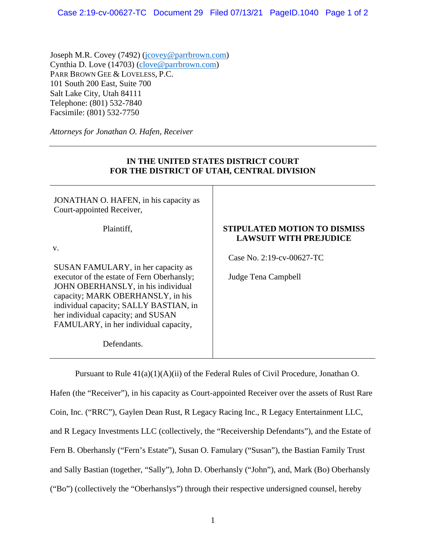Joseph M.R. Covey (7492) [\(jcovey@parrbrown.com\)](mailto:jcovey@parrbrown.com) Cynthia D. Love (14703) [\(clove@parrbrown.com\)](mailto:clove@parrbrown.com) PARR BROWN GEE & LOVELESS, P.C. 101 South 200 East, Suite 700 Salt Lake City, Utah 84111 Telephone: (801) 532-7840 Facsimile: (801) 532-7750

*Attorneys for Jonathan O. Hafen, Receiver*

| FOR THE DISTRICT OF UTAH, CENTRAL DIVISION                                   |                                                                      |
|------------------------------------------------------------------------------|----------------------------------------------------------------------|
| JONATHAN O. HAFEN, in his capacity as<br>Court-appointed Receiver,           |                                                                      |
| Plaintiff,                                                                   | <b>STIPULATED MOTION TO DISMISS</b><br><b>LAWSUIT WITH PREJUDICE</b> |
| V.                                                                           |                                                                      |
|                                                                              | Case No. 2:19-cv-00627-TC                                            |
| SUSAN FAMULARY, in her capacity as                                           |                                                                      |
| executor of the estate of Fern Oberhansly;                                   | Judge Tena Campbell                                                  |
| JOHN OBERHANSLY, in his individual                                           |                                                                      |
| capacity; MARK OBERHANSLY, in his                                            |                                                                      |
| individual capacity; SALLY BASTIAN, in<br>her individual capacity; and SUSAN |                                                                      |
|                                                                              |                                                                      |
| FAMULARY, in her individual capacity,                                        |                                                                      |
| Defendants.                                                                  |                                                                      |

**IN THE UNITED STATES DISTRICT COURT** 

Pursuant to Rule 41(a)(1)(A)(ii) of the Federal Rules of Civil Procedure, Jonathan O.

Hafen (the "Receiver"), in his capacity as Court-appointed Receiver over the assets of Rust Rare Coin, Inc. ("RRC"), Gaylen Dean Rust, R Legacy Racing Inc., R Legacy Entertainment LLC, and R Legacy Investments LLC (collectively, the "Receivership Defendants"), and the Estate of Fern B. Oberhansly ("Fern's Estate"), Susan O. Famulary ("Susan"), the Bastian Family Trust and Sally Bastian (together, "Sally"), John D. Oberhansly ("John"), and, Mark (Bo) Oberhansly ("Bo") (collectively the "Oberhanslys") through their respective undersigned counsel, hereby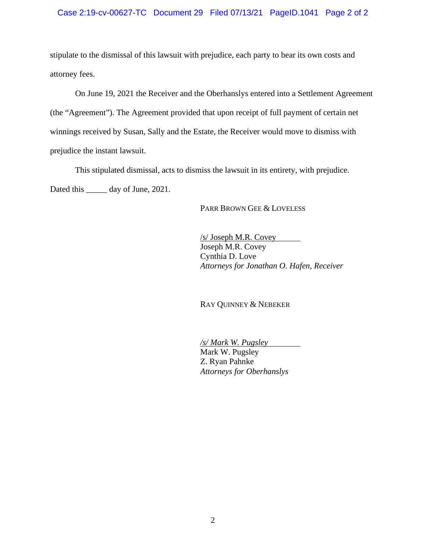stipulate to the dismissal of this lawsuit with prejudice, each party to bear its own costs and attorney fees.

On June 19, 2021 the Receiver and the Oberhanslys entered into a Settlement Agreement (the "Agreement"). The Agreement provided that upon receipt of full payment of certain net winnings received by Susan, Sally and the Estate, the Receiver would move to dismiss with prejudice the instant lawsuit.

This stipulated dismissal, acts to dismiss the lawsuit in its entirety, with prejudice. Dated this \_\_\_\_\_\_ day of June, 2021.

PARR BROWN GEE & LOVELESS

/s/ Joseph M.R. Covey Joseph M.R. Covey Cynthia D. Love *Attorneys for Jonathan O. Hafen, Receiver* 

RAY QUINNEY & NEBEKER

*/s/ Mark W. Pugsley* Mark W. Pugsley Z. Ryan Pahnke *Attorneys for Oberhanslys*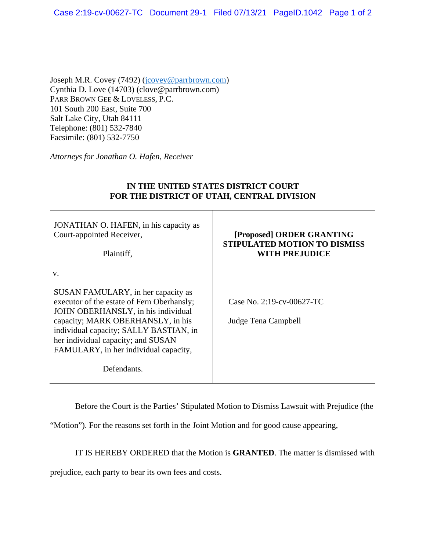Joseph M.R. Covey (7492) (jcovey@parrbrown.com) Cynthia D. Love (14703) (clove@parrbrown.com) PARR BROWN GEE & LOVELESS, P.C. 101 South 200 East, Suite 700 Salt Lake City, Utah 84111 Telephone: (801) 532-7840 Facsimile: (801) 532-7750

*Attorneys for Jonathan O. Hafen, Receiver*

| IN THE UNITED STATES DISTRICT COURT<br>FOR THE DISTRICT OF UTAH, CENTRAL DIVISION                                                                                                                                                                                                          |                                                                                           |
|--------------------------------------------------------------------------------------------------------------------------------------------------------------------------------------------------------------------------------------------------------------------------------------------|-------------------------------------------------------------------------------------------|
| JONATHAN O. HAFEN, in his capacity as<br>Court-appointed Receiver,<br>Plaintiff,                                                                                                                                                                                                           | [Proposed] ORDER GRANTING<br><b>STIPULATED MOTION TO DISMISS</b><br><b>WITH PREJUDICE</b> |
| V.<br>SUSAN FAMULARY, in her capacity as<br>executor of the estate of Fern Oberhansly;<br>JOHN OBERHANSLY, in his individual<br>capacity; MARK OBERHANSLY, in his<br>individual capacity; SALLY BASTIAN, in<br>her individual capacity; and SUSAN<br>FAMULARY, in her individual capacity, | Case No. 2:19-cv-00627-TC<br>Judge Tena Campbell                                          |
| Defendants.                                                                                                                                                                                                                                                                                |                                                                                           |

**IN THE UNITED STATES DISTRICT COURT**

Before the Court is the Parties' Stipulated Motion to Dismiss Lawsuit with Prejudice (the

"Motion"). For the reasons set forth in the Joint Motion and for good cause appearing,

IT IS HEREBY ORDERED that the Motion is **GRANTED**. The matter is dismissed with

prejudice, each party to bear its own fees and costs.